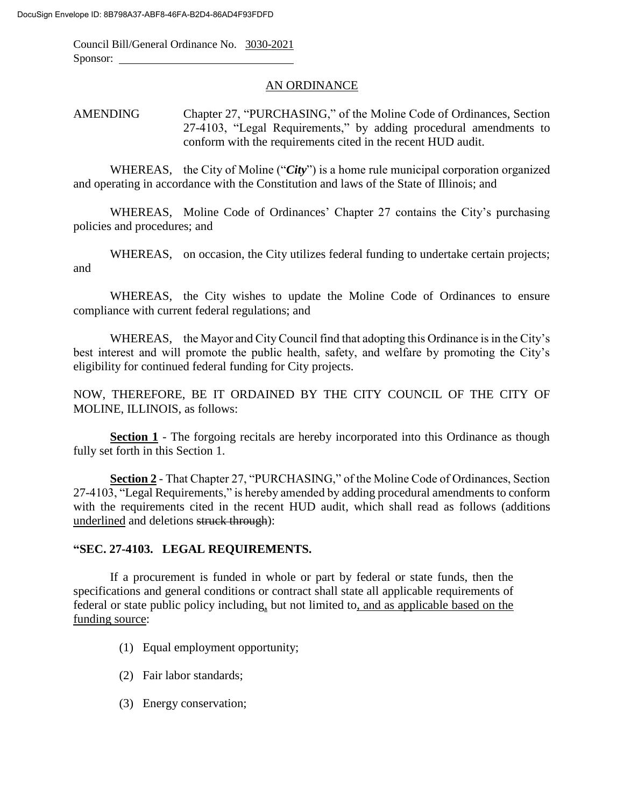Council Bill/General Ordinance No. 3030-2021 Sponsor:

## AN ORDINANCE

AMENDING Chapter 27, "PURCHASING," of the Moline Code of Ordinances, Section 27-4103, "Legal Requirements," by adding procedural amendments to conform with the requirements cited in the recent HUD audit.

WHEREAS, the City of Moline ("*City*") is a home rule municipal corporation organized and operating in accordance with the Constitution and laws of the State of Illinois; and

WHEREAS, Moline Code of Ordinances' Chapter 27 contains the City's purchasing policies and procedures; and

WHEREAS, on occasion, the City utilizes federal funding to undertake certain projects; and

WHEREAS, the City wishes to update the Moline Code of Ordinances to ensure compliance with current federal regulations; and

WHEREAS, the Mayor and City Council find that adopting this Ordinance is in the City's best interest and will promote the public health, safety, and welfare by promoting the City's eligibility for continued federal funding for City projects.

NOW, THEREFORE, BE IT ORDAINED BY THE CITY COUNCIL OF THE CITY OF MOLINE, ILLINOIS, as follows:

**Section 1** - The forgoing recitals are hereby incorporated into this Ordinance as though fully set forth in this Section 1.

**Section 2** - That Chapter 27, "PURCHASING," of the Moline Code of Ordinances, Section 27-4103, "Legal Requirements," is hereby amended by adding procedural amendments to conform with the requirements cited in the recent HUD audit, which shall read as follows (additions underlined and deletions struck through):

## **"SEC. 27-4103. LEGAL REQUIREMENTS.**

If a procurement is funded in whole or part by federal or state funds, then the specifications and general conditions or contract shall state all applicable requirements of federal or state public policy including, but not limited to, and as applicable based on the funding source:

- (1) Equal employment opportunity;
- (2) Fair labor standards;
- (3) Energy conservation;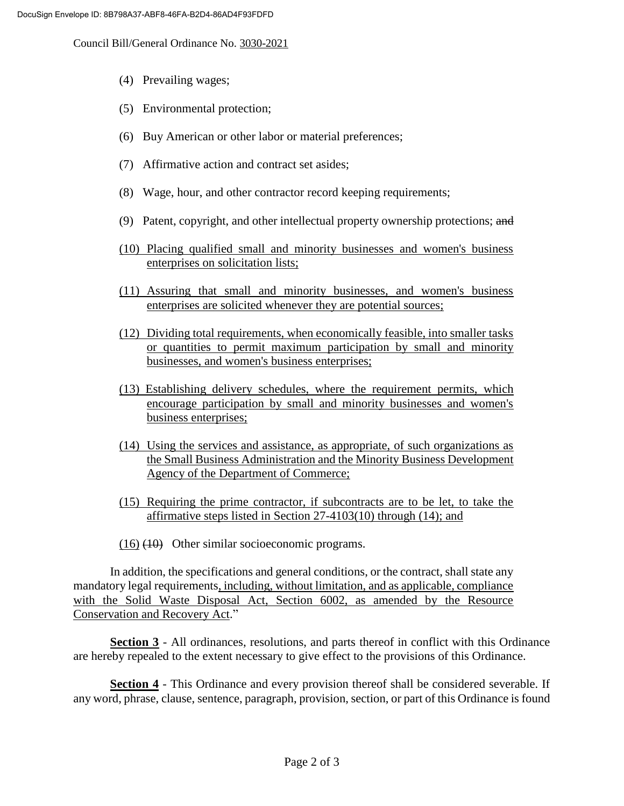Council Bill/General Ordinance No. 3030-2021

- (4) Prevailing wages;
- (5) Environmental protection;
- (6) Buy American or other labor or material preferences;
- (7) Affirmative action and contract set asides;
- (8) Wage, hour, and other contractor record keeping requirements;
- (9) Patent, copyright, and other intellectual property ownership protections; and
- (10) Placing qualified small and minority businesses and women's business enterprises on solicitation lists;
- (11) Assuring that small and minority businesses, and women's business enterprises are solicited whenever they are potential sources;
- (12) Dividing total requirements, when economically feasible, into smaller tasks or quantities to permit maximum participation by small and minority businesses, and women's business enterprises;
- (13) Establishing delivery schedules, where the requirement permits, which encourage participation by small and minority businesses and women's business enterprises;
- (14) Using the services and assistance, as appropriate, of such organizations as the Small Business Administration and the Minority Business Development Agency of the Department of Commerce;
- (15) Requiring the prime contractor, if subcontracts are to be let, to take the affirmative steps listed in Section 27-4103(10) through (14); and
- (16) (10) Other similar socioeconomic programs.

In addition, the specifications and general conditions, or the contract, shall state any mandatory legal requirements, including, without limitation, and as applicable, compliance with the Solid Waste Disposal Act, Section 6002, as amended by the Resource Conservation and Recovery Act."

**Section 3** - All ordinances, resolutions, and parts thereof in conflict with this Ordinance are hereby repealed to the extent necessary to give effect to the provisions of this Ordinance.

**Section 4** - This Ordinance and every provision thereof shall be considered severable. If any word, phrase, clause, sentence, paragraph, provision, section, or part of this Ordinance is found